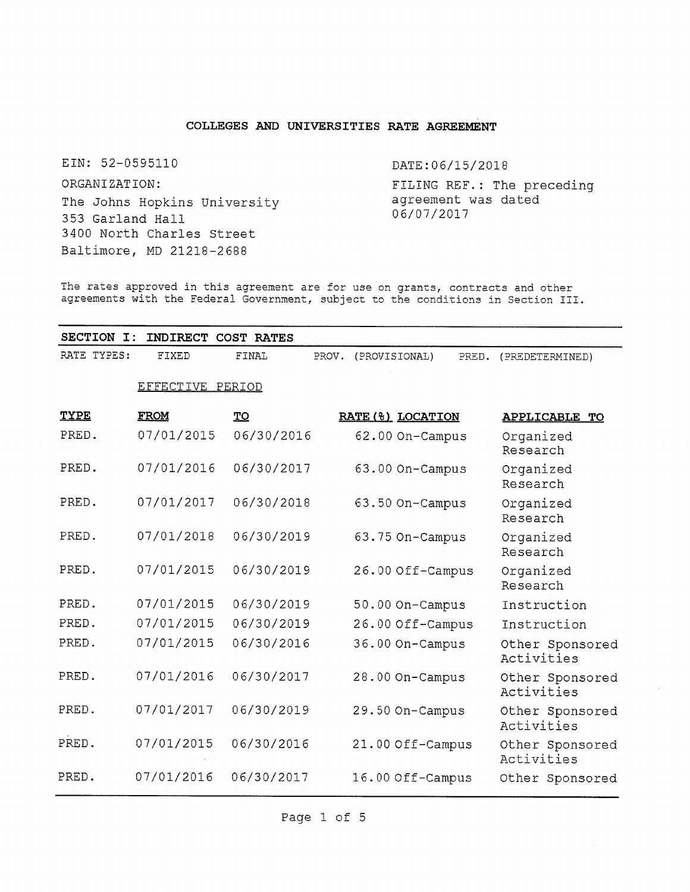## **COLLEGES AND UNIVERSITIES RATE AGREEMENT**

EIN: 52-0595110 DATE:06/15/2018

ORGANIZATION: The Johns Hopkins University 353 Garland Hall 3400 North Charles Street Baltimore, MD <sup>21218</sup>-2688

FILING REF.: The preceding agreement was dated 06/07/2017

The rates approved in this agreement are for use on grants, contracts and other agreements with the Federal Government, subject to the conditions in Section III.

| SECTION I:  |                  | INDIRECT COST RATES |                        |                   |                               |
|-------------|------------------|---------------------|------------------------|-------------------|-------------------------------|
| RATE TYPES: | FIXED            | FINAL               | PROV.<br>(PROVISIONAL) | PRED.             | (PREDETERMINED)               |
|             | EFFECTIVE PERIOD |                     |                        |                   |                               |
| TYPE        | <b>FROM</b>      | TO                  |                        | RATE (%) LOCATION | <b>APPLICABLE TO</b>          |
| PRED.       | 07/01/2015       | 06/30/2016          |                        | 62.00 On-Campus   | Organized<br>Research         |
| PRED.       | 07/01/2016       | 06/30/2017          |                        | 63.00 On-Campus   | Organized<br>Research         |
| PRED.       | 07/01/2017       | 06/30/2018          |                        | 63.50 On-Campus   | Organized<br>Research         |
| PRED.       | 07/01/2018       | 06/30/2019          |                        | 63.75 On-Campus   | Organized<br>Research         |
| PRED.       | 07/01/2015       | 06/30/2019          |                        | 26.00 Off-Campus  | Organized<br>Research         |
| PRED.       | 07/01/2015       | 06/30/2019          |                        | 50.00 On-Campus   | Instruction                   |
| PRED.       | 07/01/2015       | 06/30/2019          |                        | 26.00 Off-Campus  | Instruction                   |
| PRED.       | 07/01/2015       | 06/30/2016          |                        | 36.00 On-Campus   | Other Sponsored<br>Activities |
| PRED.       | 07/01/2016       | 06/30/2017          |                        | 28.00 On-Campus   | Other Sponsored<br>Activities |
| PRED.       | 07/01/2017       | 06/30/2019          |                        | 29.50 On-Campus   | Other Sponsored<br>Activities |
| PRED.       | 07/01/2015       | 06/30/2016          |                        | 21.00 Off-Campus  | Other Sponsored<br>Activities |
| PRED.       | 07/01/2016       | 06/30/2017          |                        | 16.00 Off-Campus  | Other Sponsored               |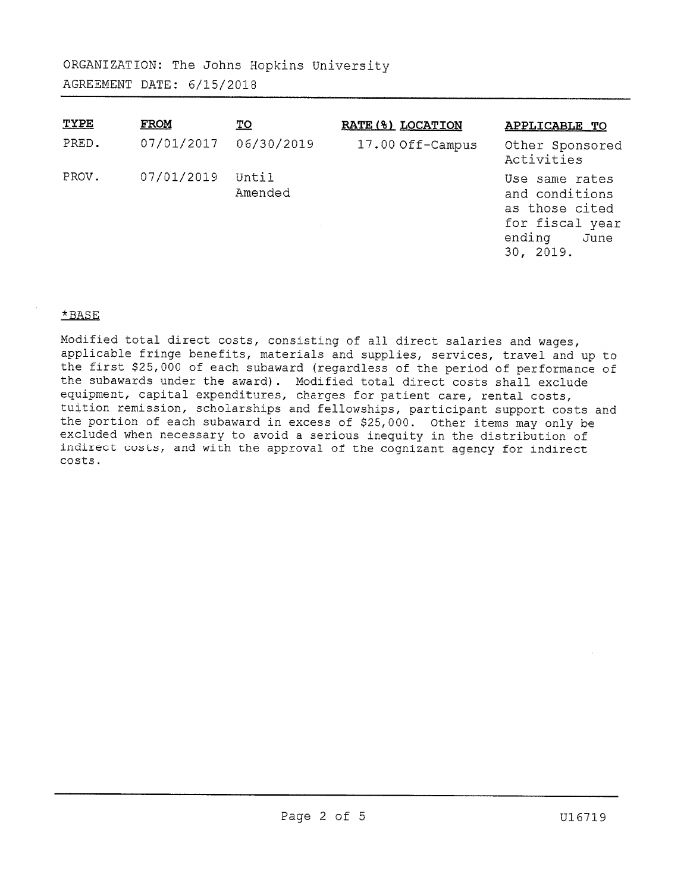| TYPE  | <b>FROM</b> | $\underline{\text{TO}}$ | RATE (%) LOCATION | <b>APPLICABLE TO</b>                                                                                 |
|-------|-------------|-------------------------|-------------------|------------------------------------------------------------------------------------------------------|
| PRED. | 07/01/2017  | 06/30/2019              | 17.00 Off-Campus  | Other Sponsored<br>Activities                                                                        |
| PROV. | 07/01/2019  | Until<br>Amended        |                   | Use same rates<br>and conditions<br>as those cited<br>for fiscal year<br>ending<br>June<br>30, 2019. |

## **\*BASE**

**Modified total direct costs, consisting of all direct salaries and wages, applicable fringe benefits, materials and supplies, services, travel and up to the first \$25,<sup>000</sup> of each subaward (regardless of the period of performance of the subawards under the award). Modified total direct costs shall exclude equipment, capital expenditures, charges for patient care, rental costs, tuition remission, scholarships and fellowships, participant support costs and the portion of each subaward in excess of \$25,000. Other items may only be excluded when necessary to avoid a serious inequity in the distribution of indirect costs, and with the approval of the cognizant agency for indirect costs.**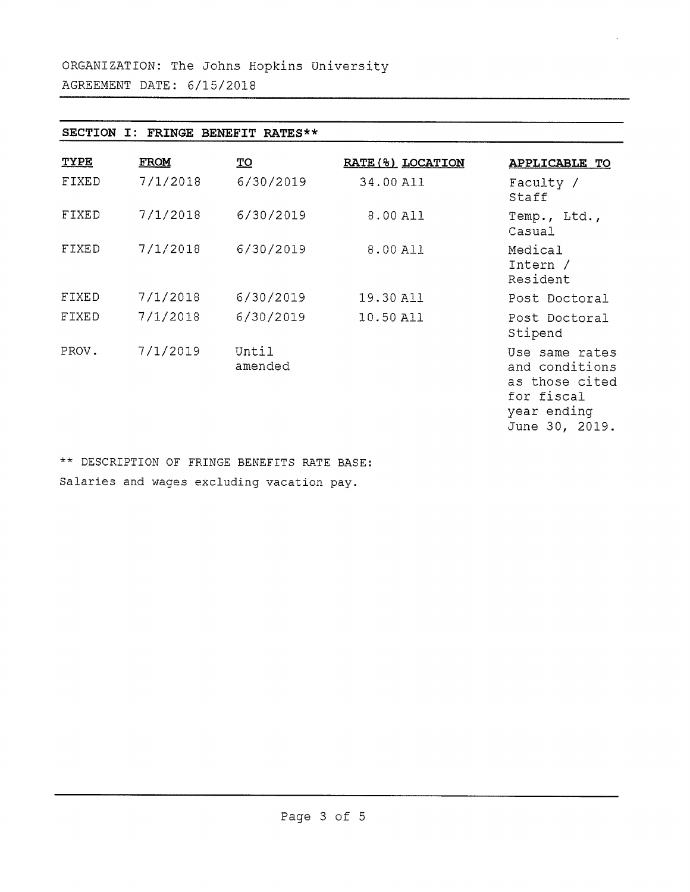| SECTION I:<br>FRINGE BENEFIT RATES** |             |                  |                   |                                                                                                   |  |  |
|--------------------------------------|-------------|------------------|-------------------|---------------------------------------------------------------------------------------------------|--|--|
| <b>TYPE</b>                          | <b>FROM</b> | <u>TO</u>        | RATE (%) LOCATION | <b>APPLICABLE TO</b>                                                                              |  |  |
| FIXED                                | 7/1/2018    | 6/30/2019        | 34.00 All         | Faculty /<br>Staff                                                                                |  |  |
| FIXED                                | 7/1/2018    | 6/30/2019        | 8.00 All          | Temp., Ltd.,<br>Casual                                                                            |  |  |
| FIXED                                | 7/1/2018    | 6/30/2019        | 8.00 All          | Medical<br>Intern /<br>Resident                                                                   |  |  |
| FIXED                                | 7/1/2018    | 6/30/2019        | 19.30 All         | Post Doctoral                                                                                     |  |  |
| FIXED                                | 7/1/2018    | 6/30/2019        | 10.50 All         | Post Doctoral<br>Stipend                                                                          |  |  |
| PROV.                                | 7/1/2019    | Until<br>amended |                   | Use same rates<br>and conditions<br>as those cited<br>for fiscal<br>year ending<br>June 30, 2019. |  |  |

 $\epsilon$ 

*<sup>k</sup> <sup>k</sup>* DESCRIPTION OF FRINGE BENEFITS RATE BASE: Salaries and wages excluding vacation pay.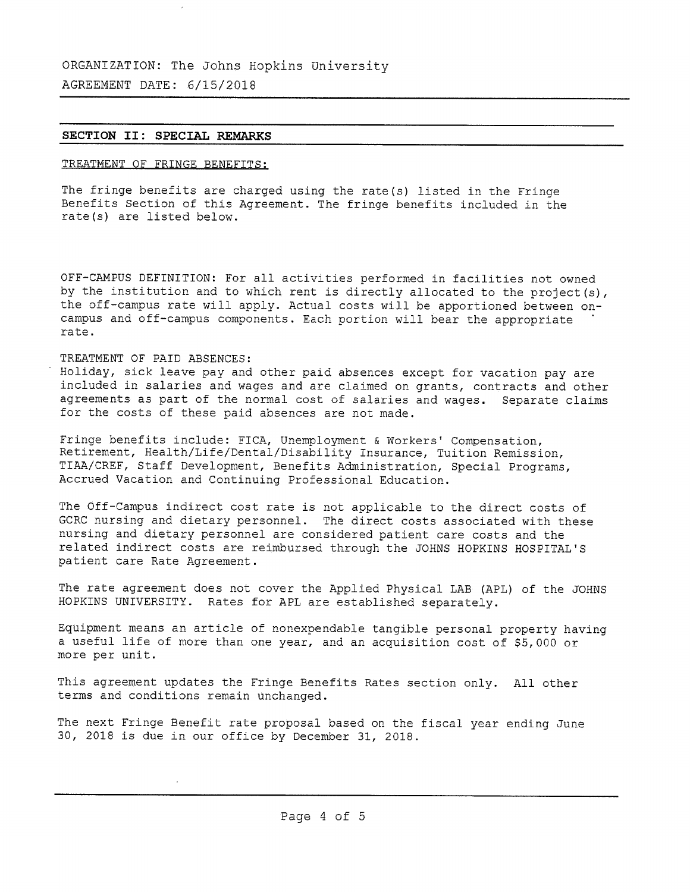# **SECTION II: SPECIAL REMARKS**

# **TREATMENT OF FRINGE BENEFITS:**

**The fringe benefits are charged using the rate(s) listed in the Fringe Benefits Section of this Agreement. The fringe benefits included in the rate(s) are listed below.**

**OFF-CAMPUS DEFINITION: For all activities performed in facilities not owned by the institution and to which rent is directly allocated to the project(s), the off-campus rate will apply. Actual costs will be apportioned between on campus and off-campus components. Each portion will bear the appropriate rate.**

## **TREATMENT OF PAID ABSENCES:**

**Holiday, sick leave pay and other paid absences except for vacation pay are included in salaries and wages and are claimed on grants, contracts and other agreements as part of the normal cost of salaries and wages. Separate claims for the costs of these paid absences are not made.**

**Fringe benefits include: FICA, Unemployment & Workers \* Compensation, Retirement, Health/Life/Dental/Disability Insurance, Tuition Remission, TIAA/CREF, Staff Development, Benefits Administration, Special Programs, Accrued Vacation and Continuing Professional Education.**

**The Off-Campus indirect cost rate is not applicable to the direct costs of GCRC nursing and dietary personnel, The direct costs associated with these nursing and dietary personnel are considered patient care costs and the related indirect costs are reimbursed through the JOHNS HOPKINS HOSPITAL \* S patient care Rate Agreement.**

**The rate agreement does not cover the Applied Physical LAB (APL) of the JOHNS HOPKINS UNIVERSITY. Rates for APL are established separately.**

**Equipment means an article of nonexpendable tangible personal property having <sup>a</sup> useful life of more than one year, and an acquisition cost of \$5,<sup>000</sup> or more per unit.**

**This agreement updates the Fringe Benefits Rates section only, All other terms and conditions remain unchanged.**

**The next Fringe Benefit rate proposal based on the fiscal year ending June <sup>30</sup>, <sup>2018</sup> is due in our office by December <sup>31</sup>, <sup>2018</sup>.**